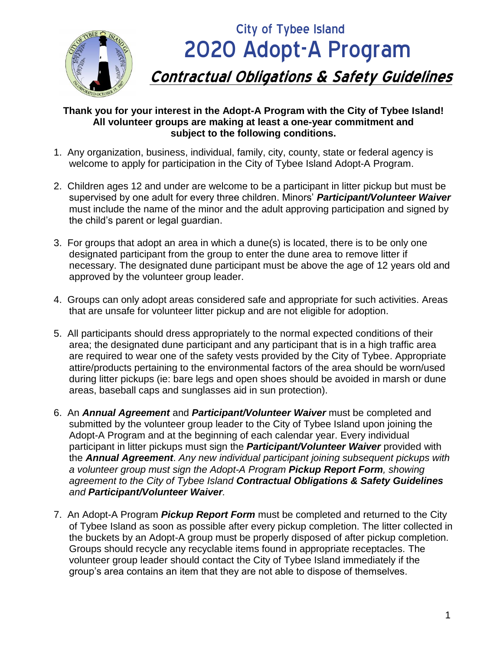

# City of Tybee Island 2020 Adopt-A Program **Contractual Obligations & Safety Guidelines**

#### **Thank you for your interest in the Adopt-A Program with the City of Tybee Island! All volunteer groups are making at least a one-year commitment and subject to the following conditions.**

- 1. Any organization, business, individual, family, city, county, state or federal agency is welcome to apply for participation in the City of Tybee Island Adopt-A Program.
- 2. Children ages 12 and under are welcome to be a participant in litter pickup but must be supervised by one adult for every three children. Minors' *Participant/Volunteer Waiver* must include the name of the minor and the adult approving participation and signed by the child's parent or legal guardian.
- 3. For groups that adopt an area in which a dune(s) is located, there is to be only one designated participant from the group to enter the dune area to remove litter if necessary. The designated dune participant must be above the age of 12 years old and approved by the volunteer group leader.
- 4. Groups can only adopt areas considered safe and appropriate for such activities. Areas that are unsafe for volunteer litter pickup and are not eligible for adoption.
- 5. All participants should dress appropriately to the normal expected conditions of their area; the designated dune participant and any participant that is in a high traffic area are required to wear one of the safety vests provided by the City of Tybee. Appropriate attire/products pertaining to the environmental factors of the area should be worn/used during litter pickups (ie: bare legs and open shoes should be avoided in marsh or dune areas, baseball caps and sunglasses aid in sun protection).
- 6. An *Annual Agreement* and *Participant/Volunteer Waiver* must be completed and submitted by the volunteer group leader to the City of Tybee Island upon joining the Adopt-A Program and at the beginning of each calendar year. Every individual participant in litter pickups must sign the *Participant/Volunteer Waiver* provided with the *Annual Agreement*. *Any new individual participant joining subsequent pickups with a volunteer group must sign the Adopt-A Program Pickup Report Form, showing agreement to the City of Tybee Island Contractual Obligations & Safety Guidelines and Participant/Volunteer Waiver.*
- 7. An Adopt-A Program *Pickup Report Form* must be completed and returned to the City of Tybee Island as soon as possible after every pickup completion. The litter collected in the buckets by an Adopt-A group must be properly disposed of after pickup completion. Groups should recycle any recyclable items found in appropriate receptacles. The volunteer group leader should contact the City of Tybee Island immediately if the group's area contains an item that they are not able to dispose of themselves.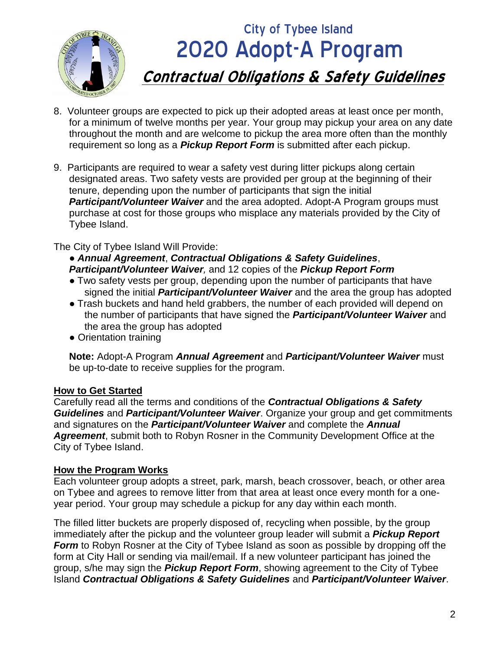

## **City of Tybee Island**  2020 Adopt-A Program **Contractual Obligations & Safety Guidelines**

- 8. Volunteer groups are expected to pick up their adopted areas at least once per month, for a minimum of twelve months per year. Your group may pickup your area on any date throughout the month and are welcome to pickup the area more often than the monthly requirement so long as a *Pickup Report Form* is submitted after each pickup.
- 9. Participants are required to wear a safety vest during litter pickups along certain designated areas. Two safety vests are provided per group at the beginning of their tenure, depending upon the number of participants that sign the initial *Participant/Volunteer Waiver* and the area adopted. Adopt-A Program groups must purchase at cost for those groups who misplace any materials provided by the City of Tybee Island.

The City of Tybee Island Will Provide:

● *Annual Agreement*, *Contractual Obligations & Safety Guidelines*, *Participant/Volunteer Waiver,* and 12 copies of the *Pickup Report Form*

- Two safety vests per group, depending upon the number of participants that have signed the initial *Participant/Volunteer Waiver* and the area the group has adopted
- Trash buckets and hand held grabbers, the number of each provided will depend on the number of participants that have signed the *Participant/Volunteer Waiver* and the area the group has adopted
- Orientation training

**Note:** Adopt-A Program *Annual Agreement* and *Participant/Volunteer Waiver* must be up-to-date to receive supplies for the program.

### **How to Get Started**

Carefully read all the terms and conditions of the *Contractual Obligations & Safety Guidelines* and *Participant/Volunteer Waiver*. Organize your group and get commitments and signatures on the *Participant/Volunteer Waiver* and complete the *Annual Agreement*, submit both to Robyn Rosner in the Community Development Office at the City of Tybee Island.

### **How the Program Works**

Each volunteer group adopts a street, park, marsh, beach crossover, beach, or other area on Tybee and agrees to remove litter from that area at least once every month for a oneyear period. Your group may schedule a pickup for any day within each month.

The filled litter buckets are properly disposed of, recycling when possible, by the group immediately after the pickup and the volunteer group leader will submit a *Pickup Report Form* to Robyn Rosner at the City of Tybee Island as soon as possible by dropping off the form at City Hall or sending via mail/email. If a new volunteer participant has joined the group, s/he may sign the *Pickup Report Form*, showing agreement to the City of Tybee Island *Contractual Obligations & Safety Guidelines* and *Participant/Volunteer Waiver*.